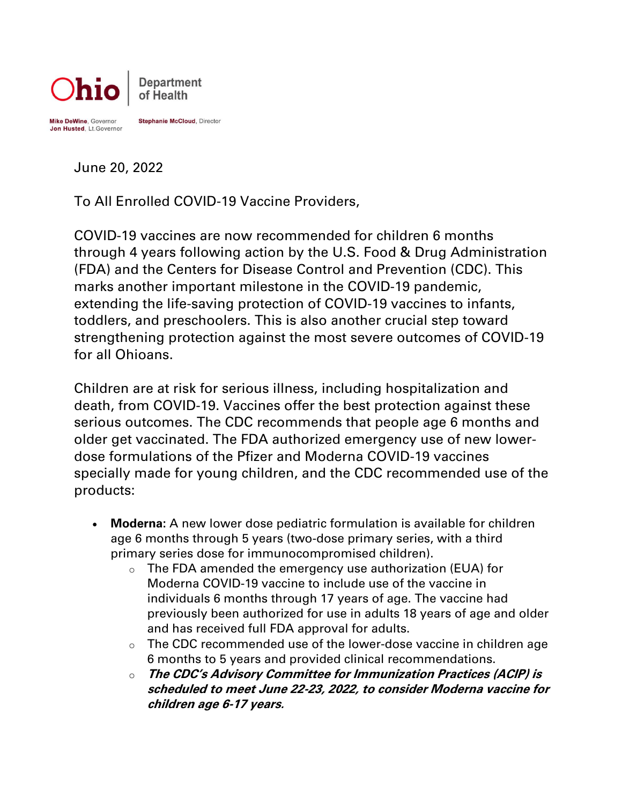

June 20, 2022

To All Enrolled COVID-19 Vaccine Providers,

COVID-19 vaccines are now recommended for children 6 months through 4 years following action by the U.S. Food & Drug Administration (FDA) and the Centers for Disease Control and Prevention (CDC). This marks another important milestone in the COVID-19 pandemic, extending the life-saving protection of COVID-19 vaccines to infants, toddlers, and preschoolers. This is also another crucial step toward strengthening protection against the most severe outcomes of COVID-19 for all Ohioans.

Children are at risk for serious illness, including hospitalization and death, from COVID-19. Vaccines offer the best protection against these serious outcomes. The CDC recommends that people age 6 months and older get vaccinated. The FDA authorized emergency use of new lowerdose formulations of the Pfizer and Moderna COVID-19 vaccines specially made for young children, and the CDC recommended use of the products:

- **Moderna:** A new lower dose pediatric formulation is available for children age 6 months through 5 years (two-dose primary series, with a third primary series dose for immunocompromised children).
	- o The FDA amended the emergency use authorization (EUA) for Moderna COVID-19 vaccine to include use of the vaccine in individuals 6 months through 17 years of age. The vaccine had previously been authorized for use in adults 18 years of age and older and has received full FDA approval for adults.
	- o The CDC recommended use of the lower-dose vaccine in children age 6 months to 5 years and provided clinical recommendations.
	- o **The CDC's Advisory Committee for Immunization Practices (ACIP) is scheduled to meet June 22-23, 2022, to consider Moderna vaccine for children age 6-17 years.**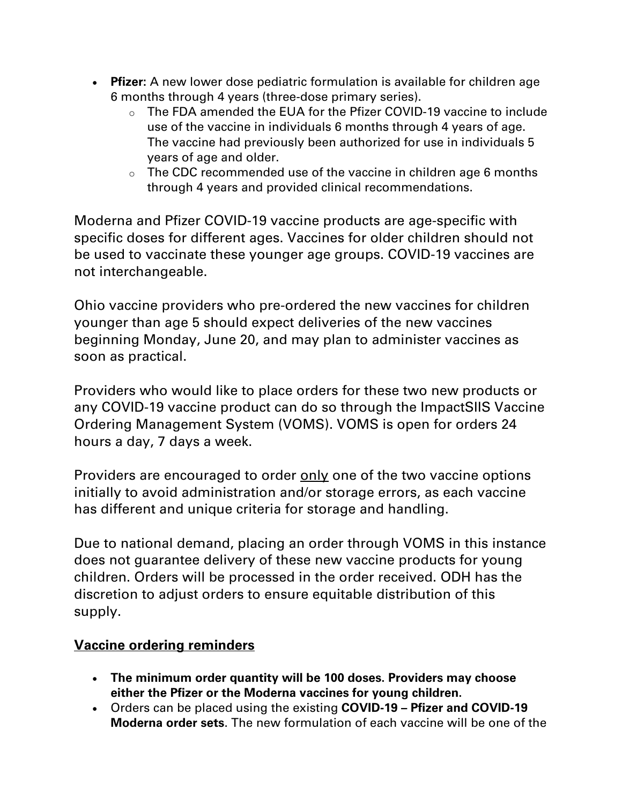- **Pfizer:** A new lower dose pediatric formulation is available for children age 6 months through 4 years (three-dose primary series).
	- o The FDA amended the EUA for the Pfizer COVID-19 vaccine to include use of the vaccine in individuals 6 months through 4 years of age. The vaccine had previously been authorized for use in individuals 5 years of age and older.
	- $\circ$  The CDC recommended use of the vaccine in children age 6 months through 4 years and provided clinical recommendations.

Moderna and Pfizer COVID-19 vaccine products are age-specific with specific doses for different ages. Vaccines for older children should not be used to vaccinate these younger age groups. COVID-19 vaccines are not interchangeable.

Ohio vaccine providers who pre-ordered the new vaccines for children younger than age 5 should expect deliveries of the new vaccines beginning Monday, June 20, and may plan to administer vaccines as soon as practical.

Providers who would like to place orders for these two new products or any COVID-19 vaccine product can do so through the ImpactSIIS Vaccine Ordering Management System (VOMS). VOMS is open for orders 24 hours a day, 7 days a week.

Providers are encouraged to order only one of the two vaccine options initially to avoid administration and/or storage errors, as each vaccine has different and unique criteria for storage and handling.

Due to national demand, placing an order through VOMS in this instance does not guarantee delivery of these new vaccine products for young children. Orders will be processed in the order received. ODH has the discretion to adjust orders to ensure equitable distribution of this supply.

## **Vaccine ordering reminders**

- **The minimum order quantity will be 100 doses. Providers may choose either the Pfizer or the Moderna vaccines for young children.**
- Orders can be placed using the existing **COVID-19 – Pfizer and COVID-19 Moderna order sets**. The new formulation of each vaccine will be one of the